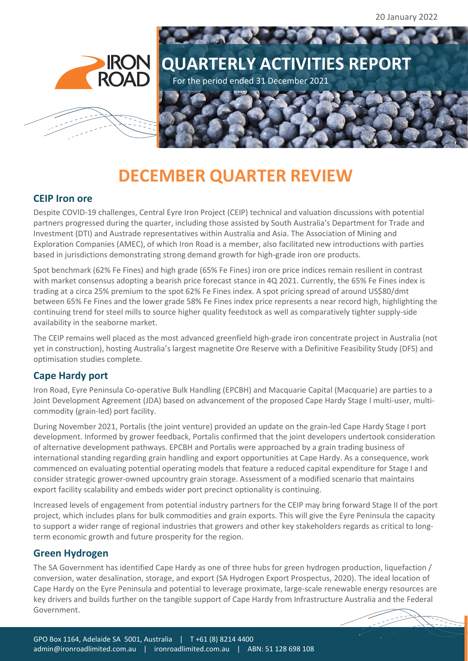20 January 2022



# **DECEMBER QUARTER REVIEW**

#### **CEIP Iron ore**

Despite COVID-19 challenges, Central Eyre Iron Project (CEIP) technical and valuation discussions with potential partners progressed during the quarter, including those assisted by South Australia's Department for Trade and Investment (DTI) and Austrade representatives within Australia and Asia. The Association of Mining and Exploration Companies (AMEC), of which Iron Road is a member, also facilitated new introductions with parties based in jurisdictions demonstrating strong demand growth for high-grade iron ore products.

Spot benchmark (62% Fe Fines) and high grade (65% Fe Fines) iron ore price indices remain resilient in contrast with market consensus adopting a bearish price forecast stance in 4Q 2021. Currently, the 65% Fe Fines index is trading at a circa 25% premium to the spot 62% Fe Fines index. A spot pricing spread of around US\$80/dmt between 65% Fe Fines and the lower grade 58% Fe Fines index price represents a near record high, highlighting the continuing trend for steel mills to source higher quality feedstock as well as comparatively tighter supply-side availability in the seaborne market.

The CEIP remains well placed as the most advanced greenfield high-grade iron concentrate project in Australia (not yet in construction), hosting Australia's largest magnetite Ore Reserve with a Definitive Feasibility Study (DFS) and optimisation studies complete.

### **Cape Hardy port**

Iron Road, Eyre Peninsula Co-operative Bulk Handling (EPCBH) and Macquarie Capital (Macquarie) are parties to a Joint Development Agreement (JDA) based on advancement of the proposed Cape Hardy Stage I multi-user, multicommodity (grain-led) port facility.

During November 2021, Portalis (the joint venture) provided an update on the grain-led Cape Hardy Stage I port development. Informed by grower feedback, Portalis confirmed that the joint developers undertook consideration of alternative development pathways. EPCBH and Portalis were approached by a grain trading business of international standing regarding grain handling and export opportunities at Cape Hardy. As a consequence, work commenced on evaluating potential operating models that feature a reduced capital expenditure for Stage I and consider strategic grower-owned upcountry grain storage. Assessment of a modified scenario that maintains export facility scalability and embeds wider port precinct optionality is continuing.

Increased levels of engagement from potential industry partners for the CEIP may bring forward Stage II of the port project, which includes plans for bulk commodities and grain exports. This will give the Eyre Peninsula the capacity to support a wider range of regional industries that growers and other key stakeholders regards as critical to longterm economic growth and future prosperity for the region.

### **Green Hydrogen**

The SA Government has identified Cape Hardy as one of three hubs for green hydrogen production, liquefaction / conversion, water desalination, storage, and export (SA Hydrogen Export Prospectus, 2020). The ideal location of Cape Hardy on the Eyre Peninsula and potential to leverage proximate, large-scale renewable energy resources are key drivers and builds further on the tangible support of Cape Hardy from Infrastructure Australia and the Federal Government.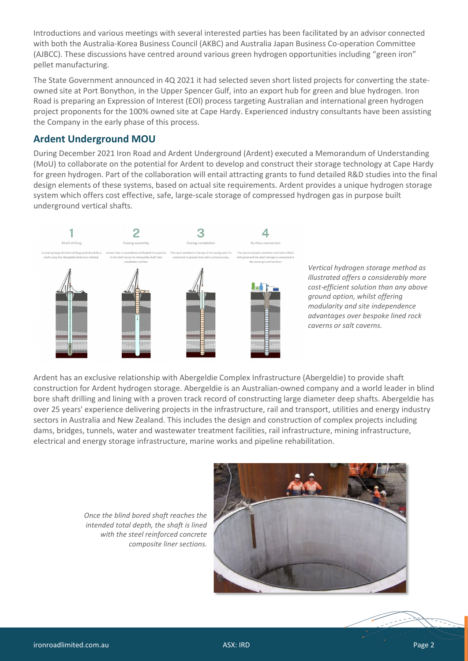Introductions and various meetings with several interested parties has been facilitated by an advisor connected with both the Australia-Korea Business Council (AKBC) and Australia Japan Business Co-operation Committee (AJBCC). These discussions have centred around various green hydrogen opportunities including "green iron" pellet manufacturing.

The State Government announced in 4Q 2021 it had selected seven short listed projects for converting the stateowned site at Port Bonython, in the Upper Spencer Gulf, into an export hub for green and blue hydrogen. Iron Road is preparing an Expression of Interest (EOI) process targeting Australian and international green hydrogen project proponents for the 100% owned site at Cape Hardy. Experienced industry consultants have been assisting the Company in the early phase of this process.

#### **Ardent Underground MOU**

During December 2021 Iron Road and Ardent Underground (Ardent) executed a Memorandum of Understanding (MoU) to collaborate on the potential for Ardent to develop and construct their storage technology at Cape Hardy for green hydrogen. Part of the collaboration will entail attracting grants to fund detailed R&D studies into the final design elements of these systems, based on actual site requirements. Ardent provides a unique hydrogen storage system which offers cost effective, safe, large-scale storage of compressed hydrogen gas in purpose built underground vertical shafts.





Ardent has an exclusive relationship with Abergeldie Complex Infrastructure (Abergeldie) to provide shaft construction for Ardent hydrogen storage. Abergeldie is an Australian-owned company and a world leader in blind bore shaft drilling and lining with a proven track record of constructing large diameter deep shafts. Abergeldie has over 25 years' experience delivering projects in the infrastructure, rail and transport, utilities and energy industry sectors in Australia and New Zealand. This includes the design and construction of complex projects including dams, bridges, tunnels, water and wastewater treatment facilities, rail infrastructure, mining infrastructure, electrical and energy storage infrastructure, marine works and pipeline rehabilitation.

> *Once the blind bored shaft reaches the intended total depth, the shaft is lined with the steel reinforced concrete composite liner sections.*

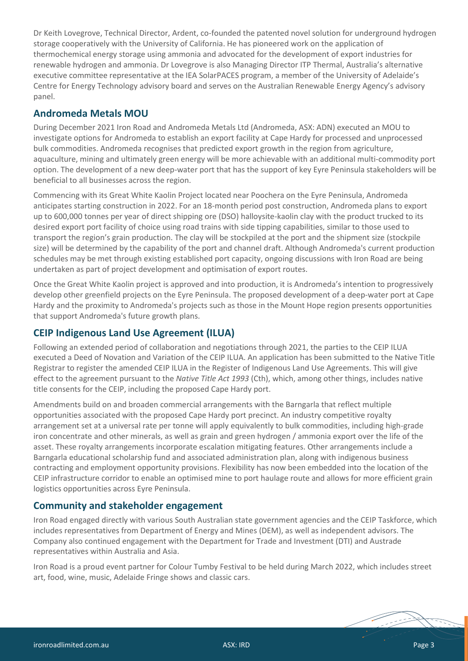Dr Keith Lovegrove, Technical Director, Ardent, co-founded the patented novel solution for underground hydrogen storage cooperatively with the University of California. He has pioneered work on the application of thermochemical energy storage using ammonia and advocated for the development of export industries for renewable hydrogen and ammonia. Dr Lovegrove is also Managing Director ITP Thermal, Australia's alternative executive committee representative at the IEA SolarPACES program, a member of the University of Adelaide's Centre for Energy Technology advisory board and serves on the Australian Renewable Energy Agency's advisory panel.

### **Andromeda Metals MOU**

During December 2021 Iron Road and Andromeda Metals Ltd (Andromeda, ASX: ADN) executed an MOU to investigate options for Andromeda to establish an export facility at Cape Hardy for processed and unprocessed bulk commodities. Andromeda recognises that predicted export growth in the region from agriculture, aquaculture, mining and ultimately green energy will be more achievable with an additional multi-commodity port option. The development of a new deep-water port that has the support of key Eyre Peninsula stakeholders will be beneficial to all businesses across the region.

Commencing with its Great White Kaolin Project located near Poochera on the Eyre Peninsula, Andromeda anticipates starting construction in 2022. For an 18-month period post construction, Andromeda plans to export up to 600,000 tonnes per year of direct shipping ore (DSO) halloysite-kaolin clay with the product trucked to its desired export port facility of choice using road trains with side tipping capabilities, similar to those used to transport the region's grain production. The clay will be stockpiled at the port and the shipment size (stockpile size) will be determined by the capability of the port and channel draft. Although Andromeda's current production schedules may be met through existing established port capacity, ongoing discussions with Iron Road are being undertaken as part of project development and optimisation of export routes.

Once the Great White Kaolin project is approved and into production, it is Andromeda's intention to progressively develop other greenfield projects on the Eyre Peninsula. The proposed development of a deep-water port at Cape Hardy and the proximity to Andromeda's projects such as those in the Mount Hope region presents opportunities that support Andromeda's future growth plans.

# **CEIP Indigenous Land Use Agreement (ILUA)**

Following an extended period of collaboration and negotiations through 2021, the parties to the CEIP ILUA executed a Deed of Novation and Variation of the CEIP ILUA. An application has been submitted to the Native Title Registrar to register the amended CEIP ILUA in the Register of Indigenous Land Use Agreements. This will give effect to the agreement pursuant to the *Native Title Act 1993* (Cth), which, among other things, includes native title consents for the CEIP, including the proposed Cape Hardy port.

Amendments build on and broaden commercial arrangements with the Barngarla that reflect multiple opportunities associated with the proposed Cape Hardy port precinct. An industry competitive royalty arrangement set at a universal rate per tonne will apply equivalently to bulk commodities, including high-grade iron concentrate and other minerals, as well as grain and green hydrogen / ammonia export over the life of the asset. These royalty arrangements incorporate escalation mitigating features. Other arrangements include a Barngarla educational scholarship fund and associated administration plan, along with indigenous business contracting and employment opportunity provisions. Flexibility has now been embedded into the location of the CEIP infrastructure corridor to enable an optimised mine to port haulage route and allows for more efficient grain logistics opportunities across Eyre Peninsula.

### **Community and stakeholder engagement**

Iron Road engaged directly with various South Australian state government agencies and the CEIP Taskforce, which includes representatives from Department of Energy and Mines (DEM), as well as independent advisors. The Company also continued engagement with the Department for Trade and Investment (DTI) and Austrade representatives within Australia and Asia.

Iron Road is a proud event partner for Colour Tumby Festival to be held during March 2022, which includes street art, food, wine, music, Adelaide Fringe shows and classic cars.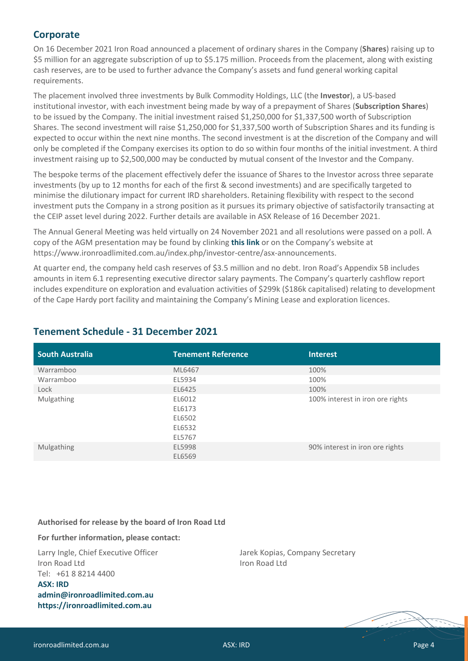#### **Corporate**

On 16 December 2021 Iron Road announced a placement of ordinary shares in the Company (**Shares**) raising up to \$5 million for an aggregate subscription of up to \$5.175 million. Proceeds from the placement, along with existing cash reserves, are to be used to further advance the Company's assets and fund general working capital requirements.

The placement involved three investments by Bulk Commodity Holdings, LLC (the **Investor**), a US-based institutional investor, with each investment being made by way of a prepayment of Shares (**Subscription Shares**) to be issued by the Company. The initial investment raised \$1,250,000 for \$1,337,500 worth of Subscription Shares. The second investment will raise \$1,250,000 for \$1,337,500 worth of Subscription Shares and its funding is expected to occur within the next nine months. The second investment is at the discretion of the Company and will only be completed if the Company exercises its option to do so within four months of the initial investment. A third investment raising up to \$2,500,000 may be conducted by mutual consent of the Investor and the Company.

The bespoke terms of the placement effectively defer the issuance of Shares to the Investor across three separate investments (by up to 12 months for each of the first & second investments) and are specifically targeted to minimise the dilutionary impact for current IRD shareholders. Retaining flexibility with respect to the second investment puts the Company in a strong position as it pursues its primary objective of satisfactorily transacting at the CEIP asset level during 2022. Further details are available in ASX Release of 16 December 2021.

The Annual General Meeting was held virtually on 24 November 2021 and all resolutions were passed on a poll. A copy of the AGM presentation may be found by clinking **[this link](https://www.asx.com.au/asx/statistics/displayAnnouncement.do?display=pdf&idsId=02456615)** or on the Company's website at [https://www.ironroadlimited.com.au/index.php/investor-centre/asx-announcements.](https://www.ironroadlimited.com.au/index.php/investor-centre/asx-announcements)

At quarter end, the company held cash reserves of \$3.5 million and no debt. Iron Road's Appendix 5B includes amounts in item 6.1 representing executive director salary payments. The Company's quarterly cashflow report includes expenditure on exploration and evaluation activities of \$299k (\$186k capitalised) relating to development of the Cape Hardy port facility and maintaining the Company's Mining Lease and exploration licences.

| <b>Tenement Reference</b> | <b>Interest</b>                  |
|---------------------------|----------------------------------|
| ML6467                    | 100%                             |
| EL5934                    | 100%                             |
| EL6425                    | 100%                             |
| EL6012                    | 100% interest in iron ore rights |
| EL6173                    |                                  |
| EL6502                    |                                  |
| EL6532                    |                                  |
| EL5767                    |                                  |
| EL5998                    | 90% interest in iron ore rights  |
| EL6569                    |                                  |
|                           |                                  |

# **Tenement Schedule - 31 December 2021**

#### **Authorised for release by the board of Iron Road Ltd**

**For further information, please contact:**

Larry Ingle, Chief Executive Officer Iron Road Ltd Tel: +61 8 8214 4400 **ASX: IRD [admin@ironroadlimited.com.au](mailto:admin@ironroadlimited.com.au) [https://ironroadlimited.com.au](https://ironroadlimited.com.au/)**

Jarek Kopias, Company Secretary Iron Road Ltd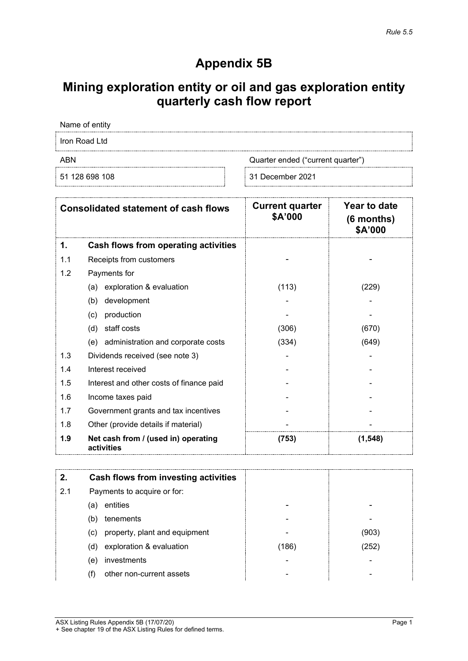# **Appendix 5B**

# **Mining exploration entity or oil and gas exploration entity quarterly cash flow report**

Name of entity

Iron Road Ltd

ABN Cuarter ended ("current quarter")

51 128 698 108 31 December 2021

|     | <b>Consolidated statement of cash flows</b>       | <b>Current quarter</b><br>\$A'000 | Year to date<br>$(6$ months)<br>\$A'000 |
|-----|---------------------------------------------------|-----------------------------------|-----------------------------------------|
| 1.  | Cash flows from operating activities              |                                   |                                         |
| 1.1 | Receipts from customers                           |                                   |                                         |
| 1.2 | Payments for                                      |                                   |                                         |
|     | exploration & evaluation<br>(a)                   | (113)                             | (229)                                   |
|     | (b)<br>development                                |                                   |                                         |
|     | production<br>(c)                                 |                                   |                                         |
|     | staff costs<br>(d)                                | (306)                             | (670)                                   |
|     | (e) administration and corporate costs            | (334)                             | (649)                                   |
| 1.3 | Dividends received (see note 3)                   |                                   |                                         |
| 1.4 | Interest received                                 |                                   |                                         |
| 1.5 | Interest and other costs of finance paid          |                                   |                                         |
| 1.6 | Income taxes paid                                 |                                   |                                         |
| 1.7 | Government grants and tax incentives              |                                   |                                         |
| 1.8 | Other (provide details if material)               |                                   |                                         |
| 1.9 | Net cash from / (used in) operating<br>activities | (753)                             | (1, 548)                                |

|     | Cash flows from investing activities |       |       |
|-----|--------------------------------------|-------|-------|
| 2.1 | Payments to acquire or for:          |       |       |
|     | entities<br>(a)                      |       |       |
|     | tenements<br>(b)                     |       |       |
|     | property, plant and equipment<br>(c) |       | (903) |
|     | exploration & evaluation<br>(d)      | (186) | 252)  |
|     | investments<br>(e)                   |       |       |
|     | other non-current assets             |       |       |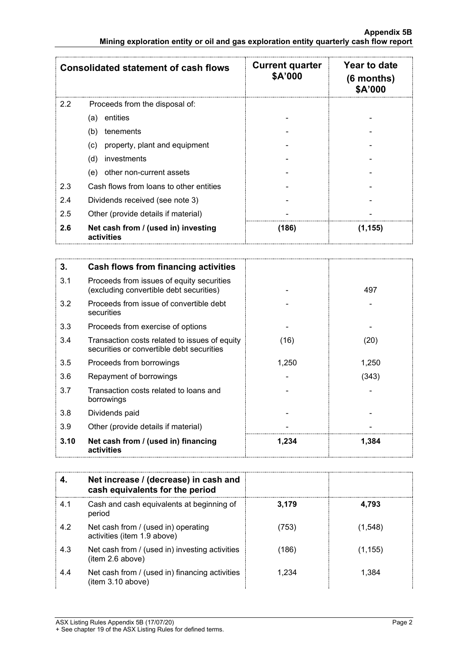|     | <b>Consolidated statement of cash flows</b>       | <b>Current quarter</b><br>\$A'000 | Year to date<br>$(6$ months)<br>\$A'000 |
|-----|---------------------------------------------------|-----------------------------------|-----------------------------------------|
| 2.2 | Proceeds from the disposal of:                    |                                   |                                         |
|     | entities<br>(a)                                   |                                   |                                         |
|     | (b)<br>tenements                                  |                                   |                                         |
|     | property, plant and equipment<br>(c)              |                                   |                                         |
|     | (d)<br>investments                                |                                   |                                         |
|     | other non-current assets<br>(e)                   |                                   |                                         |
| 2.3 | Cash flows from loans to other entities           |                                   |                                         |
| 2.4 | Dividends received (see note 3)                   |                                   |                                         |
| 2.5 | Other (provide details if material)               |                                   |                                         |
| 2.6 | Net cash from / (used in) investing<br>activities | (186)                             | (1,155)                                 |

| 3.   | Cash flows from financing activities                                                       |       |       |
|------|--------------------------------------------------------------------------------------------|-------|-------|
| 3.1  | Proceeds from issues of equity securities<br>(excluding convertible debt securities)       |       | 497   |
| 3.2  | Proceeds from issue of convertible debt<br>securities                                      |       |       |
| 3.3  | Proceeds from exercise of options                                                          |       |       |
| 3.4  | Transaction costs related to issues of equity<br>securities or convertible debt securities | (16)  | (20)  |
| 3.5  | Proceeds from borrowings                                                                   | 1,250 | 1,250 |
| 3.6  | Repayment of borrowings                                                                    |       | (343) |
| 3.7  | Transaction costs related to loans and<br>borrowings                                       |       |       |
| 3.8  | Dividends paid                                                                             |       |       |
| 3.9  | Other (provide details if material)                                                        |       |       |
| 3.10 | Net cash from / (used in) financing<br>activities                                          | 1,234 | 1,384 |

|     | Net increase / (decrease) in cash and<br>cash equivalents for the period |       |         |
|-----|--------------------------------------------------------------------------|-------|---------|
| 4.1 | Cash and cash equivalents at beginning of<br>period                      | 3.179 | 4.793   |
| 4.2 | Net cash from / (used in) operating<br>activities (item 1.9 above)       | (753) | (1,548) |
| 4.3 | Net cash from / (used in) investing activities<br>(item 2.6 above)       | 1861  | (1,155) |
| 4.4 | Net cash from / (used in) financing activities<br>(item 3.10 above)      | - 234 | 1.384   |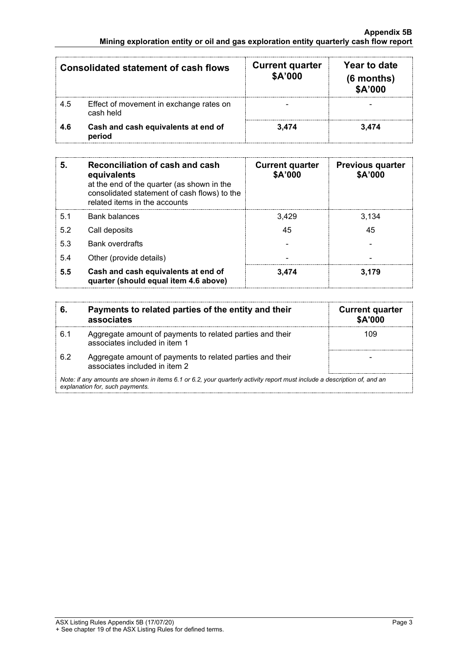|     | <b>Consolidated statement of cash flows</b>          | <b>Current quarter</b><br>\$A'000 | Year to date<br>$(6$ months)<br>\$A'000 |
|-----|------------------------------------------------------|-----------------------------------|-----------------------------------------|
| 4.5 | Effect of movement in exchange rates on<br>cash held |                                   |                                         |
| 4.6 | Cash and cash equivalents at end of<br>period        | 3.474                             | 3.474                                   |

| 5.  | Reconciliation of cash and cash<br>equivalents<br>at the end of the quarter (as shown in the<br>consolidated statement of cash flows) to the<br>related items in the accounts | <b>Current quarter</b><br>\$A'000 | <b>Previous quarter</b><br>\$A'000 |
|-----|-------------------------------------------------------------------------------------------------------------------------------------------------------------------------------|-----------------------------------|------------------------------------|
| 5.1 | <b>Bank balances</b>                                                                                                                                                          | 3.429                             | 3,134                              |
| 5.2 | Call deposits                                                                                                                                                                 | 45                                | 45                                 |
| 5.3 | <b>Bank overdrafts</b>                                                                                                                                                        |                                   |                                    |
| 5.4 | Other (provide details)                                                                                                                                                       |                                   |                                    |
| 5.5 | Cash and cash equivalents at end of<br>quarter (should equal item 4.6 above)                                                                                                  | 3.474                             | 3.179                              |

|                                                                                                                                                             | Payments to related parties of the entity and their<br>associates                          | <b>Current quarter</b><br><b>\$A'000</b> |
|-------------------------------------------------------------------------------------------------------------------------------------------------------------|--------------------------------------------------------------------------------------------|------------------------------------------|
| 6.1                                                                                                                                                         | Aggregate amount of payments to related parties and their<br>associates included in item 1 | 109                                      |
| 6.2                                                                                                                                                         | Aggregate amount of payments to related parties and their<br>associates included in item 2 |                                          |
| Note: if any amounts are shown in items 6.1 or 6.2, your quarterly activity report must include a description of, and an<br>explanation for, such payments. |                                                                                            |                                          |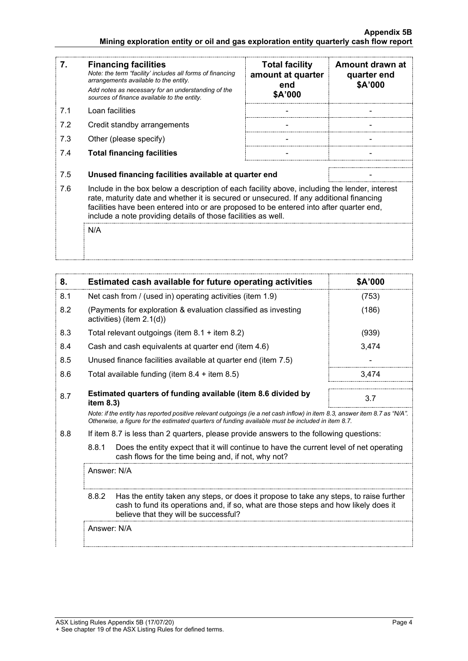#### **Appendix 5B Mining exploration entity or oil and gas exploration entity quarterly cash flow report**

| 7.  | <b>Financing facilities</b><br>Note: the term "facility' includes all forms of financing<br>arrangements available to the entity.<br>Add notes as necessary for an understanding of the<br>sources of finance available to the entity.                                                                                                               | <b>Total facility</b><br>amount at quarter<br>end<br>\$A'000 | Amount drawn at<br>quarter end<br>\$A'000 |
|-----|------------------------------------------------------------------------------------------------------------------------------------------------------------------------------------------------------------------------------------------------------------------------------------------------------------------------------------------------------|--------------------------------------------------------------|-------------------------------------------|
| 7.1 | Loan facilities                                                                                                                                                                                                                                                                                                                                      |                                                              |                                           |
| 7.2 | Credit standby arrangements                                                                                                                                                                                                                                                                                                                          |                                                              |                                           |
| 7.3 | Other (please specify)                                                                                                                                                                                                                                                                                                                               |                                                              |                                           |
| 7.4 | <b>Total financing facilities</b>                                                                                                                                                                                                                                                                                                                    |                                                              |                                           |
|     |                                                                                                                                                                                                                                                                                                                                                      |                                                              |                                           |
| 7.5 | Unused financing facilities available at quarter end                                                                                                                                                                                                                                                                                                 |                                                              |                                           |
| 7.6 | Include in the box below a description of each facility above, including the lender, interest<br>rate, maturity date and whether it is secured or unsecured. If any additional financing<br>facilities have been entered into or are proposed to be entered into after quarter end,<br>include a note providing details of those facilities as well. |                                                              |                                           |
|     | N/A                                                                                                                                                                                                                                                                                                                                                  |                                                              |                                           |

| 8.  | Estimated cash available for future operating activities                                                                                                                                                                        | <b>SA'000</b> |
|-----|---------------------------------------------------------------------------------------------------------------------------------------------------------------------------------------------------------------------------------|---------------|
| 8.1 | Net cash from / (used in) operating activities (item 1.9)                                                                                                                                                                       | (753)         |
| 8.2 | (Payments for exploration & evaluation classified as investing<br>activities) (item $2.1(d)$ )                                                                                                                                  | (186)         |
| 8.3 | Total relevant outgoings (item $8.1$ + item $8.2$ )                                                                                                                                                                             | (939)         |
| 8.4 | Cash and cash equivalents at quarter end (item 4.6)                                                                                                                                                                             | 3.474         |
| 8.5 | Unused finance facilities available at quarter end (item 7.5)                                                                                                                                                                   |               |
| 8.6 | Total available funding (item $8.4 +$ item $8.5$ )                                                                                                                                                                              | 3.474         |
| 8.7 | Estimated quarters of funding available (item 8.6 divided by<br>item $8.3$ )                                                                                                                                                    | 3.7           |
|     | Note: if the entity has reported positive relevant outgoings (ie a net cash inflow) in item 8.3, answer item 8.7 as "N/A".<br>Otherwise, a figure for the estimated quarters of funding available must be included in item 8.7. |               |

8.8 If item 8.7 is less than 2 quarters, please provide answers to the following questions:

8.8.1 Does the entity expect that it will continue to have the current level of net operating cash flows for the time being and, if not, why not?

Answer: N/A

8.8.2 Has the entity taken any steps, or does it propose to take any steps, to raise further cash to fund its operations and, if so, what are those steps and how likely does it believe that they will be successful?

Answer: N/A